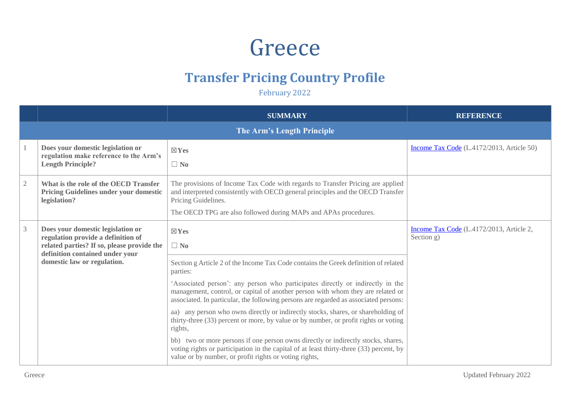## Greece

## **Transfer Pricing Country Profile**

February 2022

|                |                                                                                                                                                                                         | <b>SUMMARY</b>                                                                                                                                                                                                                                                                                                                                                                                                                                    | <b>REFERENCE</b>                                       |
|----------------|-----------------------------------------------------------------------------------------------------------------------------------------------------------------------------------------|---------------------------------------------------------------------------------------------------------------------------------------------------------------------------------------------------------------------------------------------------------------------------------------------------------------------------------------------------------------------------------------------------------------------------------------------------|--------------------------------------------------------|
|                |                                                                                                                                                                                         |                                                                                                                                                                                                                                                                                                                                                                                                                                                   |                                                        |
|                | Does your domestic legislation or<br>regulation make reference to the Arm's<br><b>Length Principle?</b>                                                                                 | $\boxtimes$ Yes<br>$\Box$ No                                                                                                                                                                                                                                                                                                                                                                                                                      | Income Tax Code (L.4172/2013, Article 50)              |
| $\overline{2}$ | What is the role of the OECD Transfer<br>Pricing Guidelines under your domestic<br>legislation?                                                                                         | The provisions of Income Tax Code with regards to Transfer Pricing are applied<br>and interpreted consistently with OECD general principles and the OECD Transfer<br>Pricing Guidelines.<br>The OECD TPG are also followed during MAPs and APAs procedures.                                                                                                                                                                                       |                                                        |
| $\mathfrak{Z}$ | Does your domestic legislation or<br>regulation provide a definition of<br>related parties? If so, please provide the<br>definition contained under your<br>domestic law or regulation. | $\boxtimes$ Yes<br>$\Box$ No<br>Section g Article 2 of the Income Tax Code contains the Greek definition of related<br>parties:                                                                                                                                                                                                                                                                                                                   | Income Tax Code (L.4172/2013, Article 2,<br>Section g) |
|                |                                                                                                                                                                                         | 'Associated person': any person who participates directly or indirectly in the<br>management, control, or capital of another person with whom they are related or<br>associated. In particular, the following persons are regarded as associated persons:<br>aa) any person who owns directly or indirectly stocks, shares, or shareholding of<br>thirty-three (33) percent or more, by value or by number, or profit rights or voting<br>rights, |                                                        |
|                |                                                                                                                                                                                         | bb) two or more persons if one person owns directly or indirectly stocks, shares,<br>voting rights or participation in the capital of at least thirty-three (33) percent, by<br>value or by number, or profit rights or voting rights,                                                                                                                                                                                                            |                                                        |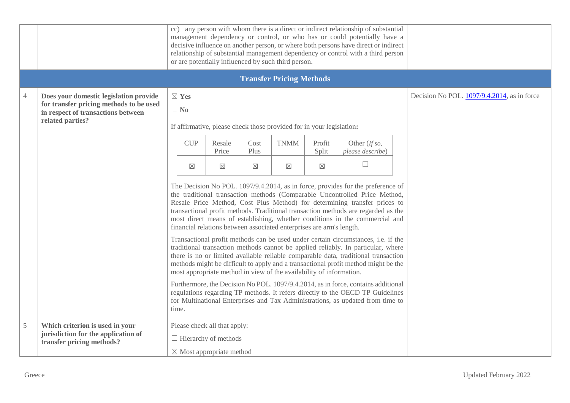|               |                                                                                                                                             |                                                                                                                                                                                                                                                                                                                                                                                                                                                                                        |                                                                                                    |                          | or are potentially influenced by such third person.                  |                                | cc) any person with whom there is a direct or indirect relationship of substantial<br>management dependency or control, or who has or could potentially have a<br>decisive influence on another person, or where both persons have direct or indirect<br>relationship of substantial management dependency or control with a third person         |                                             |
|---------------|---------------------------------------------------------------------------------------------------------------------------------------------|----------------------------------------------------------------------------------------------------------------------------------------------------------------------------------------------------------------------------------------------------------------------------------------------------------------------------------------------------------------------------------------------------------------------------------------------------------------------------------------|----------------------------------------------------------------------------------------------------|--------------------------|----------------------------------------------------------------------|--------------------------------|---------------------------------------------------------------------------------------------------------------------------------------------------------------------------------------------------------------------------------------------------------------------------------------------------------------------------------------------------|---------------------------------------------|
|               |                                                                                                                                             |                                                                                                                                                                                                                                                                                                                                                                                                                                                                                        |                                                                                                    |                          | <b>Transfer Pricing Methods</b>                                      |                                |                                                                                                                                                                                                                                                                                                                                                   |                                             |
| 4             | Does your domestic legislation provide<br>for transfer pricing methods to be used<br>in respect of transactions between<br>related parties? | $\boxtimes$ Yes<br>$\Box$ No                                                                                                                                                                                                                                                                                                                                                                                                                                                           |                                                                                                    |                          | If affirmative, please check those provided for in your legislation: |                                |                                                                                                                                                                                                                                                                                                                                                   | Decision No POL. 1097/9.4.2014, as in force |
|               |                                                                                                                                             | <b>CUP</b><br>$\boxtimes$                                                                                                                                                                                                                                                                                                                                                                                                                                                              | Resale<br>Price<br>$\times$                                                                        | Cost<br>Plus<br>$\times$ | <b>TNMM</b><br>$\boxtimes$                                           | Profit<br>Split<br>$\boxtimes$ | Other (If so,<br>please describe)<br>$\Box$                                                                                                                                                                                                                                                                                                       |                                             |
|               |                                                                                                                                             | The Decision No POL. 1097/9.4.2014, as in force, provides for the preference of<br>the traditional transaction methods (Comparable Uncontrolled Price Method,<br>Resale Price Method, Cost Plus Method) for determining transfer prices to<br>transactional profit methods. Traditional transaction methods are regarded as the<br>most direct means of establishing, whether conditions in the commercial and<br>financial relations between associated enterprises are arm's length. |                                                                                                    |                          |                                                                      |                                |                                                                                                                                                                                                                                                                                                                                                   |                                             |
|               |                                                                                                                                             |                                                                                                                                                                                                                                                                                                                                                                                                                                                                                        |                                                                                                    |                          | most appropriate method in view of the availability of information.  |                                | Transactional profit methods can be used under certain circumstances, i.e. if the<br>traditional transaction methods cannot be applied reliably. In particular, where<br>there is no or limited available reliable comparable data, traditional transaction<br>methods might be difficult to apply and a transactional profit method might be the |                                             |
|               |                                                                                                                                             | time.                                                                                                                                                                                                                                                                                                                                                                                                                                                                                  |                                                                                                    |                          |                                                                      |                                | Furthermore, the Decision No POL. 1097/9.4.2014, as in force, contains additional<br>regulations regarding TP methods. It refers directly to the OECD TP Guidelines<br>for Multinational Enterprises and Tax Administrations, as updated from time to                                                                                             |                                             |
| $\mathfrak s$ | Which criterion is used in your<br>jurisdiction for the application of<br>transfer pricing methods?                                         |                                                                                                                                                                                                                                                                                                                                                                                                                                                                                        | Please check all that apply:<br>$\Box$ Hierarchy of methods<br>$\boxtimes$ Most appropriate method |                          |                                                                      |                                |                                                                                                                                                                                                                                                                                                                                                   |                                             |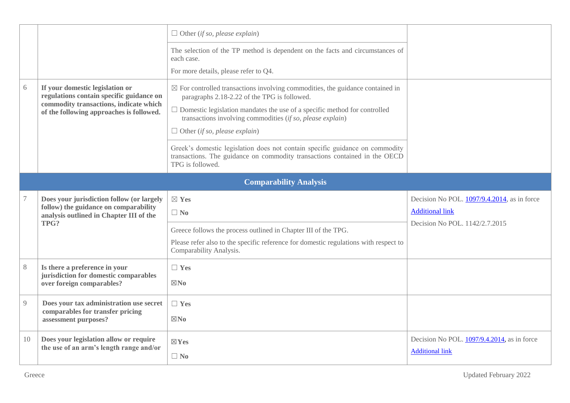|                |                                                                                                                                                                   | $\Box$ Other (if so, please explain)                                                                                                                                                                                                                                                                                                                                                                                                                                                                                 |                                                                                                         |
|----------------|-------------------------------------------------------------------------------------------------------------------------------------------------------------------|----------------------------------------------------------------------------------------------------------------------------------------------------------------------------------------------------------------------------------------------------------------------------------------------------------------------------------------------------------------------------------------------------------------------------------------------------------------------------------------------------------------------|---------------------------------------------------------------------------------------------------------|
|                |                                                                                                                                                                   | The selection of the TP method is dependent on the facts and circumstances of<br>each case.<br>For more details, please refer to Q4.                                                                                                                                                                                                                                                                                                                                                                                 |                                                                                                         |
| 6              | If your domestic legislation or<br>regulations contain specific guidance on<br>commodity transactions, indicate which<br>of the following approaches is followed. | $\boxtimes$ For controlled transactions involving commodities, the guidance contained in<br>paragraphs 2.18-2.22 of the TPG is followed.<br>$\Box$ Domestic legislation mandates the use of a specific method for controlled<br>transactions involving commodities (if so, please explain)<br>$\Box$ Other (if so, please explain)<br>Greek's domestic legislation does not contain specific guidance on commodity<br>transactions. The guidance on commodity transactions contained in the OECD<br>TPG is followed. |                                                                                                         |
|                |                                                                                                                                                                   | <b>Comparability Analysis</b>                                                                                                                                                                                                                                                                                                                                                                                                                                                                                        |                                                                                                         |
|                | Does your jurisdiction follow (or largely<br>follow) the guidance on comparability<br>analysis outlined in Chapter III of the<br>TPG?                             | $\boxtimes$ Yes<br>$\Box$ No<br>Greece follows the process outlined in Chapter III of the TPG.<br>Please refer also to the specific reference for domestic regulations with respect to<br>Comparability Analysis.                                                                                                                                                                                                                                                                                                    | Decision No POL. 1097/9.4.2014, as in force<br><b>Additional link</b><br>Decision No POL. 1142/2.7.2015 |
| $8\,$          | Is there a preference in your<br>jurisdiction for domestic comparables<br>over foreign comparables?                                                               | $\Box$ Yes<br>$\boxtimes$ No                                                                                                                                                                                                                                                                                                                                                                                                                                                                                         |                                                                                                         |
| $\overline{Q}$ | Does your tax administration use secret<br>comparables for transfer pricing<br>assessment purposes?                                                               | $\Box$ Yes<br>$\boxtimes$ No                                                                                                                                                                                                                                                                                                                                                                                                                                                                                         |                                                                                                         |
| 10             | Does your legislation allow or require<br>the use of an arm's length range and/or                                                                                 | $\boxtimes$ Yes<br>$\Box$ No                                                                                                                                                                                                                                                                                                                                                                                                                                                                                         | Decision No POL. 1097/9.4.2014, as in force<br><b>Additional link</b>                                   |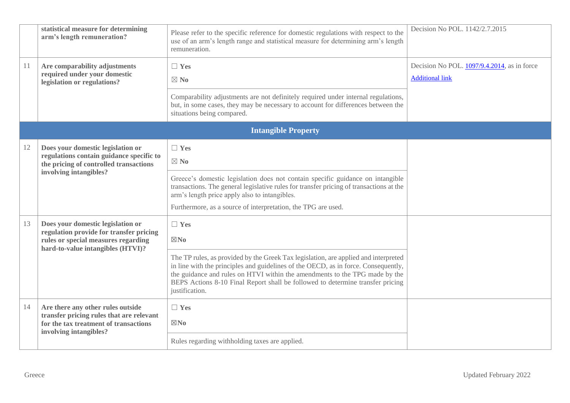|    | statistical measure for determining<br>arm's length remuneration?                                                                                        | Please refer to the specific reference for domestic regulations with respect to the<br>use of an arm's length range and statistical measure for determining arm's length<br>remuneration.                                                                                                   | Decision No POL. 1142/2.7.2015                                        |
|----|----------------------------------------------------------------------------------------------------------------------------------------------------------|---------------------------------------------------------------------------------------------------------------------------------------------------------------------------------------------------------------------------------------------------------------------------------------------|-----------------------------------------------------------------------|
| 11 | Are comparability adjustments<br>required under your domestic<br>legislation or regulations?                                                             | $\Box$ Yes<br>$\boxtimes$ No                                                                                                                                                                                                                                                                | Decision No POL. 1097/9.4.2014, as in force<br><b>Additional link</b> |
|    |                                                                                                                                                          | Comparability adjustments are not definitely required under internal regulations,<br>but, in some cases, they may be necessary to account for differences between the<br>situations being compared.                                                                                         |                                                                       |
|    |                                                                                                                                                          | <b>Intangible Property</b>                                                                                                                                                                                                                                                                  |                                                                       |
| 12 | Does your domestic legislation or<br>regulations contain guidance specific to<br>the pricing of controlled transactions<br>involving intangibles?        | $\Box$ Yes<br>$\boxtimes$ No                                                                                                                                                                                                                                                                |                                                                       |
|    |                                                                                                                                                          | Greece's domestic legislation does not contain specific guidance on intangible<br>transactions. The general legislative rules for transfer pricing of transactions at the<br>arm's length price apply also to intangibles.<br>Furthermore, as a source of interpretation, the TPG are used. |                                                                       |
| 13 | Does your domestic legislation or<br>regulation provide for transfer pricing<br>rules or special measures regarding<br>hard-to-value intangibles (HTVI)? | $\Box$ Yes<br>$\boxtimes$ No<br>The TP rules, as provided by the Greek Tax legislation, are applied and interpreted<br>in line with the principles and guidelines of the OECD, as in force. Consequently,                                                                                   |                                                                       |
|    |                                                                                                                                                          | the guidance and rules on HTVI within the amendments to the TPG made by the<br>BEPS Actions 8-10 Final Report shall be followed to determine transfer pricing<br>justification.                                                                                                             |                                                                       |
| 14 | Are there any other rules outside<br>transfer pricing rules that are relevant<br>for the tax treatment of transactions<br>involving intangibles?         | $\Box$ Yes<br>$\boxtimes$ No                                                                                                                                                                                                                                                                |                                                                       |
|    |                                                                                                                                                          | Rules regarding withholding taxes are applied.                                                                                                                                                                                                                                              |                                                                       |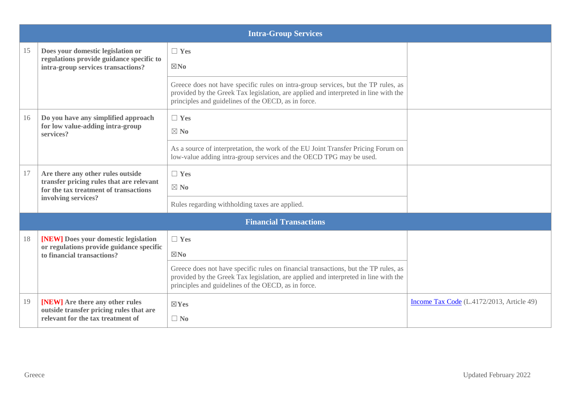|    |                                                                                                                        | <b>Intra-Group Services</b>                                                                                                                                                                                                       |                                           |
|----|------------------------------------------------------------------------------------------------------------------------|-----------------------------------------------------------------------------------------------------------------------------------------------------------------------------------------------------------------------------------|-------------------------------------------|
| 15 | Does your domestic legislation or                                                                                      | $\Box$ Yes                                                                                                                                                                                                                        |                                           |
|    | regulations provide guidance specific to<br>intra-group services transactions?                                         | $\boxtimes$ No                                                                                                                                                                                                                    |                                           |
|    |                                                                                                                        | Greece does not have specific rules on intra-group services, but the TP rules, as<br>provided by the Greek Tax legislation, are applied and interpreted in line with the<br>principles and guidelines of the OECD, as in force.   |                                           |
| 16 | Do you have any simplified approach<br>for low value-adding intra-group                                                | $\Box$ Yes                                                                                                                                                                                                                        |                                           |
|    | services?                                                                                                              | $\boxtimes$ No                                                                                                                                                                                                                    |                                           |
|    |                                                                                                                        | As a source of interpretation, the work of the EU Joint Transfer Pricing Forum on<br>low-value adding intra-group services and the OECD TPG may be used.                                                                          |                                           |
| 17 | Are there any other rules outside<br>transfer pricing rules that are relevant<br>for the tax treatment of transactions | $\Box$ Yes                                                                                                                                                                                                                        |                                           |
|    |                                                                                                                        | $\boxtimes$ No                                                                                                                                                                                                                    |                                           |
|    | involving services?                                                                                                    | Rules regarding withholding taxes are applied.                                                                                                                                                                                    |                                           |
|    |                                                                                                                        | <b>Financial Transactions</b>                                                                                                                                                                                                     |                                           |
| 18 | [NEW] Does your domestic legislation                                                                                   | $\Box$ Yes                                                                                                                                                                                                                        |                                           |
|    | or regulations provide guidance specific<br>to financial transactions?                                                 | $\boxtimes$ No                                                                                                                                                                                                                    |                                           |
|    |                                                                                                                        | Greece does not have specific rules on financial transactions, but the TP rules, as<br>provided by the Greek Tax legislation, are applied and interpreted in line with the<br>principles and guidelines of the OECD, as in force. |                                           |
| 19 | [NEW] Are there any other rules<br>outside transfer pricing rules that are                                             | $\boxtimes$ Yes                                                                                                                                                                                                                   | Income Tax Code (L.4172/2013, Article 49) |
|    | relevant for the tax treatment of                                                                                      | $\Box$ No                                                                                                                                                                                                                         |                                           |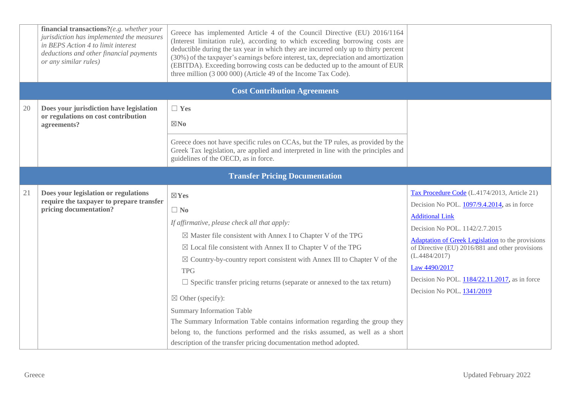|    | financial transactions?(e.g. whether your<br>jurisdiction has implemented the measures<br>in BEPS Action 4 to limit interest<br>deductions and other financial payments<br>or any similar rules) | Greece has implemented Article 4 of the Council Directive (EU) 2016/1164<br>(Interest limitation rule), according to which exceeding borrowing costs are<br>deductible during the tax year in which they are incurred only up to thirty percent<br>(30%) of the taxpayer's earnings before interest, tax, depreciation and amortization<br>(EBITDA). Exceeding borrowing costs can be deducted up to the amount of EUR<br>three million (3 000 000) (Article 49 of the Income Tax Code).                                                                                                                                                                                                                                            |                                                                                                                                                                                                                                                                                                                                                                                         |
|----|--------------------------------------------------------------------------------------------------------------------------------------------------------------------------------------------------|-------------------------------------------------------------------------------------------------------------------------------------------------------------------------------------------------------------------------------------------------------------------------------------------------------------------------------------------------------------------------------------------------------------------------------------------------------------------------------------------------------------------------------------------------------------------------------------------------------------------------------------------------------------------------------------------------------------------------------------|-----------------------------------------------------------------------------------------------------------------------------------------------------------------------------------------------------------------------------------------------------------------------------------------------------------------------------------------------------------------------------------------|
|    |                                                                                                                                                                                                  | <b>Cost Contribution Agreements</b>                                                                                                                                                                                                                                                                                                                                                                                                                                                                                                                                                                                                                                                                                                 |                                                                                                                                                                                                                                                                                                                                                                                         |
| 20 | Does your jurisdiction have legislation<br>or regulations on cost contribution<br>agreements?                                                                                                    | $\Box$ Yes<br>$\boxtimes$ No<br>Greece does not have specific rules on CCAs, but the TP rules, as provided by the<br>Greek Tax legislation, are applied and interpreted in line with the principles and<br>guidelines of the OECD, as in force.                                                                                                                                                                                                                                                                                                                                                                                                                                                                                     |                                                                                                                                                                                                                                                                                                                                                                                         |
|    |                                                                                                                                                                                                  | <b>Transfer Pricing Documentation</b>                                                                                                                                                                                                                                                                                                                                                                                                                                                                                                                                                                                                                                                                                               |                                                                                                                                                                                                                                                                                                                                                                                         |
| 21 | Does your legislation or regulations<br>require the taxpayer to prepare transfer<br>pricing documentation?                                                                                       | $\boxtimes$ Yes<br>$\Box$ No<br>If affirmative, please check all that apply:<br>$\boxtimes$ Master file consistent with Annex I to Chapter V of the TPG<br>$\boxtimes$ Local file consistent with Annex II to Chapter V of the TPG<br>$\boxtimes$ Country-by-country report consistent with Annex III to Chapter V of the<br><b>TPG</b><br>$\Box$ Specific transfer pricing returns (separate or annexed to the tax return)<br>$\boxtimes$ Other (specify):<br><b>Summary Information Table</b><br>The Summary Information Table contains information regarding the group they<br>belong to, the functions performed and the risks assumed, as well as a short<br>description of the transfer pricing documentation method adopted. | Tax Procedure Code (L.4174/2013, Article 21)<br>Decision No POL. 1097/9.4.2014, as in force<br><b>Additional Link</b><br>Decision No POL. 1142/2.7.2015<br><b>Adaptation of Greek Legislation</b> to the provisions<br>of Directive (EU) 2016/881 and other provisions<br>(L.4484/2017)<br>Law 4490/2017<br>Decision No POL. 1184/22.11.2017, as in force<br>Decision No POL. 1341/2019 |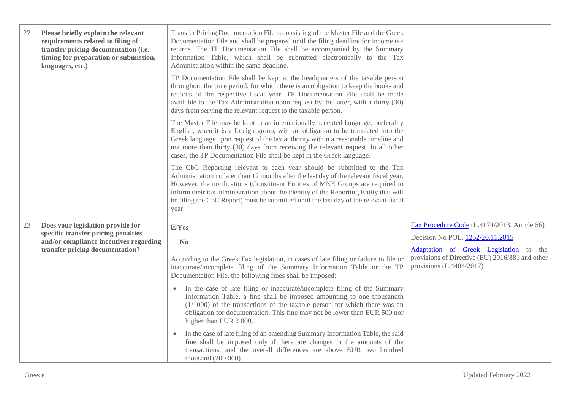| 22 | Please briefly explain the relevant<br>requirements related to filing of<br>transfer pricing documentation (i.e.<br>timing for preparation or submission,<br>languages, etc.) | Transfer Pricing Documentation File is consisting of the Master File and the Greek<br>Documentation File and shall be prepared until the filing deadline for income tax<br>returns. The TP Documentation File shall be accompanied by the Summary<br>Information Table, which shall be submitted electronically to the Tax<br>Administration within the same deadline.                                                                       |                                                                                                                         |
|----|-------------------------------------------------------------------------------------------------------------------------------------------------------------------------------|----------------------------------------------------------------------------------------------------------------------------------------------------------------------------------------------------------------------------------------------------------------------------------------------------------------------------------------------------------------------------------------------------------------------------------------------|-------------------------------------------------------------------------------------------------------------------------|
|    |                                                                                                                                                                               | TP Documentation File shall be kept at the headquarters of the taxable person<br>throughout the time period, for which there is an obligation to keep the books and<br>records of the respective fiscal year. TP Documentation File shall be made<br>available to the Tax Administration upon request by the latter, within thirty (30)<br>days from serving the relevant request to the taxable person.                                     |                                                                                                                         |
|    |                                                                                                                                                                               | The Master File may be kept in an internationally accepted language, preferably<br>English, when it is a foreign group, with an obligation to be translated into the<br>Greek language upon request of the tax authority within a reasonable timeline and<br>not more than thirty (30) days from receiving the relevant request. In all other<br>cases, the TP Documentation File shall be kept in the Greek language.                       |                                                                                                                         |
|    |                                                                                                                                                                               | The CbC Reporting relevant to each year should be submitted to the Tax<br>Administration no later than 12 months after the last day of the relevant fiscal year.<br>However, the notifications (Constituent Entities of MNE Groups are required to<br>inform their tax administration about the identity of the Reporting Entity that will<br>be filing the CbC Report) must be submitted until the last day of the relevant fiscal<br>year. |                                                                                                                         |
| 23 | Does your legislation provide for<br>specific transfer pricing penalties<br>and/or compliance incentives regarding                                                            | $\boxtimes$ Yes<br>$\Box$ No                                                                                                                                                                                                                                                                                                                                                                                                                 | Tax Procedure Code (L.4174/2013, Article 56)<br>Decision No POL. 1252/20.11.2015                                        |
|    | transfer pricing documentation?                                                                                                                                               | According to the Greek Tax legislation, in cases of late filing or failure to file or<br>inaccurate/incomplete filing of the Summary Information Table or the TP<br>Documentation File, the following fines shall be imposed:                                                                                                                                                                                                                | Adaptation of Greek Legislation to the<br>provisions of Directive (EU) 2016/881 and other<br>provisions $(L.4484/2017)$ |
|    |                                                                                                                                                                               | • In the case of late filing or inaccurate/incomplete filing of the Summary<br>Information Table, a fine shall be imposed amounting to one thousandth<br>$(1/1000)$ of the transactions of the taxable person for which there was an<br>obligation for documentation. This fine may not be lower than EUR 500 nor<br>higher than EUR 2000.                                                                                                   |                                                                                                                         |
|    |                                                                                                                                                                               | In the case of late filing of an amending Summary Information Table, the said<br>fine shall be imposed only if there are changes in the amounts of the<br>transactions, and the overall differences are above EUR two hundred<br>thousand (200 000).                                                                                                                                                                                         |                                                                                                                         |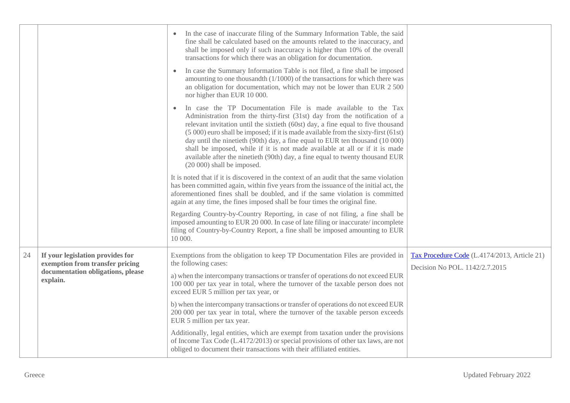|    |                                                                                                                      | In the case of inaccurate filing of the Summary Information Table, the said<br>fine shall be calculated based on the amounts related to the inaccuracy, and<br>shall be imposed only if such inaccuracy is higher than 10% of the overall<br>transactions for which there was an obligation for documentation.<br>In case the Summary Information Table is not filed, a fine shall be imposed<br>amounting to one thousandth (1/1000) of the transactions for which there was<br>an obligation for documentation, which may not be lower than EUR 2 500                                                                                                                                                                                                                            |                                                                                |
|----|----------------------------------------------------------------------------------------------------------------------|------------------------------------------------------------------------------------------------------------------------------------------------------------------------------------------------------------------------------------------------------------------------------------------------------------------------------------------------------------------------------------------------------------------------------------------------------------------------------------------------------------------------------------------------------------------------------------------------------------------------------------------------------------------------------------------------------------------------------------------------------------------------------------|--------------------------------------------------------------------------------|
|    |                                                                                                                      | nor higher than EUR 10 000.<br>In case the TP Documentation File is made available to the Tax<br>Administration from the thirty-first (31st) day from the notification of a<br>relevant invitation until the sixtieth (60st) day, a fine equal to five thousand<br>(5 000) euro shall be imposed; if it is made available from the sixty-first (61st)<br>day until the ninetieth (90th) day, a fine equal to EUR ten thousand (10 000)<br>shall be imposed, while if it is not made available at all or if it is made<br>available after the ninetieth (90th) day, a fine equal to twenty thousand EUR<br>$(20000)$ shall be imposed.                                                                                                                                              |                                                                                |
|    |                                                                                                                      | It is noted that if it is discovered in the context of an audit that the same violation<br>has been committed again, within five years from the issuance of the initial act, the<br>aforementioned fines shall be doubled, and if the same violation is committed<br>again at any time, the fines imposed shall be four times the original fine.<br>Regarding Country-by-Country Reporting, in case of not filing, a fine shall be<br>imposed amounting to EUR 20 000. In case of late filing or inaccurate/incomplete<br>filing of Country-by-Country Report, a fine shall be imposed amounting to EUR<br>10 000.                                                                                                                                                                 |                                                                                |
| 24 | If your legislation provides for<br>exemption from transfer pricing<br>documentation obligations, please<br>explain. | Exemptions from the obligation to keep TP Documentation Files are provided in<br>the following cases:<br>a) when the intercompany transactions or transfer of operations do not exceed EUR<br>100 000 per tax year in total, where the turnover of the taxable person does not<br>exceed EUR 5 million per tax year, or<br>b) when the intercompany transactions or transfer of operations do not exceed EUR<br>200 000 per tax year in total, where the turnover of the taxable person exceeds<br>EUR 5 million per tax year.<br>Additionally, legal entities, which are exempt from taxation under the provisions<br>of Income Tax Code (L.4172/2013) or special provisions of other tax laws, are not<br>obliged to document their transactions with their affiliated entities. | Tax Procedure Code (L.4174/2013, Article 21)<br>Decision No POL. 1142/2.7.2015 |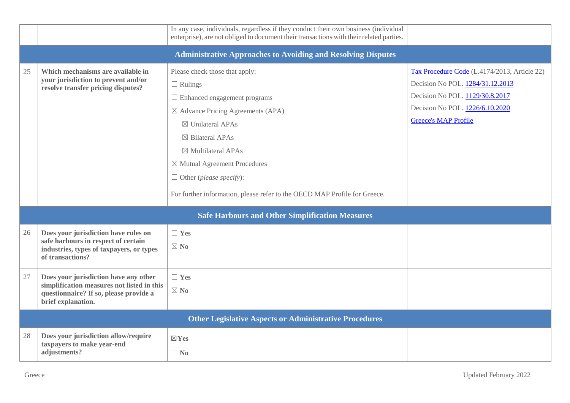|    |                                                                                                                                                     | In any case, individuals, regardless if they conduct their own business (individual<br>enterprise), are not obliged to document their transactions with their related parties.                                                                                                                                                                                                                           |                                                                                                                                                                                       |  |  |  |  |
|----|-----------------------------------------------------------------------------------------------------------------------------------------------------|----------------------------------------------------------------------------------------------------------------------------------------------------------------------------------------------------------------------------------------------------------------------------------------------------------------------------------------------------------------------------------------------------------|---------------------------------------------------------------------------------------------------------------------------------------------------------------------------------------|--|--|--|--|
|    | <b>Administrative Approaches to Avoiding and Resolving Disputes</b>                                                                                 |                                                                                                                                                                                                                                                                                                                                                                                                          |                                                                                                                                                                                       |  |  |  |  |
| 25 | Which mechanisms are available in<br>your jurisdiction to prevent and/or<br>resolve transfer pricing disputes?                                      | Please check those that apply:<br>$\Box$ Rulings<br>$\Box$ Enhanced engagement programs<br>$\boxtimes$ Advance Pricing Agreements (APA)<br>$\boxtimes$ Unilateral APAs<br>$\boxtimes$ Bilateral APAs<br>$\boxtimes$ Multilateral APAs<br>$\boxtimes$ Mutual Agreement Procedures<br>$\Box$ Other ( <i>please specify</i> ):<br>For further information, please refer to the OECD MAP Profile for Greece. | Tax Procedure Code (L.4174/2013, Article 22)<br>Decision No POL. 1284/31.12.2013<br>Decision No POL. 1129/30.8.2017<br>Decision No POL. 1226/6.10.2020<br><b>Greece's MAP Profile</b> |  |  |  |  |
|    |                                                                                                                                                     | <b>Safe Harbours and Other Simplification Measures</b>                                                                                                                                                                                                                                                                                                                                                   |                                                                                                                                                                                       |  |  |  |  |
| 26 | Does your jurisdiction have rules on<br>safe harbours in respect of certain<br>industries, types of taxpayers, or types<br>of transactions?         | $\Box$ Yes<br>$\boxtimes$ No                                                                                                                                                                                                                                                                                                                                                                             |                                                                                                                                                                                       |  |  |  |  |
| 27 | Does your jurisdiction have any other<br>simplification measures not listed in this<br>questionnaire? If so, please provide a<br>brief explanation. | $\Box$ Yes<br>$\boxtimes$ No                                                                                                                                                                                                                                                                                                                                                                             |                                                                                                                                                                                       |  |  |  |  |
|    |                                                                                                                                                     | <b>Other Legislative Aspects or Administrative Procedures</b>                                                                                                                                                                                                                                                                                                                                            |                                                                                                                                                                                       |  |  |  |  |
| 28 | Does your jurisdiction allow/require<br>taxpayers to make year-end<br>adjustments?                                                                  | $\boxtimes$ Yes<br>$\Box$ No                                                                                                                                                                                                                                                                                                                                                                             |                                                                                                                                                                                       |  |  |  |  |